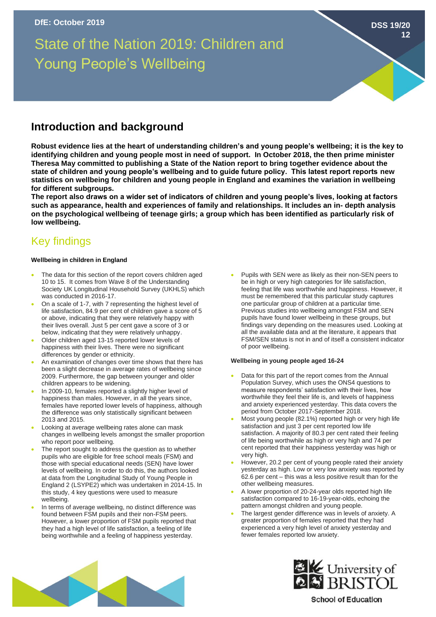# State of the Nation 2019: Children and Young People's Wellbeing

# **Introduction and background**

**Robust evidence lies at the heart of understanding children's and young people's wellbeing; it is the key to identifying children and young people most in need of support. In October 2018, the then prime minister Theresa May committed to publishing a State of the Nation report to bring together evidence about the state of children and young people's wellbeing and to guide future policy. This latest report reports new statistics on wellbeing for children and young people in England and examines the variation in wellbeing for different subgroups.**

**The report also draws on a wider set of indicators of children and young people's lives, looking at factors such as appearance, health and experiences of family and relationships. It includes an in- depth analysis on the psychological wellbeing of teenage girls; a group which has been identified as particularly risk of low wellbeing.**

# Key findings

# **Wellbeing in children in England**

- The data for this section of the report covers children aged 10 to 15. It comes from Wave 8 of the Understanding Society UK Longitudinal Household Survey (UKHLS) which was conducted in 2016-17.
- On a scale of 1-7, with 7 representing the highest level of life satisfaction, 84.9 per cent of children gave a score of 5 or above, indicating that they were relatively happy with their lives overall. Just 5 per cent gave a score of 3 or below, indicating that they were relatively unhappy.
- Older children aged 13-15 reported lower levels of happiness with their lives. There were no significant differences by gender or ethnicity.
- An examination of changes over time shows that there has been a slight decrease in average rates of wellbeing since 2009. Furthermore, the gap between younger and older children appears to be widening.
- In 2009-10, females reported a slightly higher level of happiness than males. However, in all the years since, females have reported lower levels of happiness, although the difference was only statistically significant between 2013 and 2015.
- Looking at average wellbeing rates alone can mask changes in wellbeing levels amongst the smaller proportion who report poor wellbeing.
- The report sought to address the question as to whether pupils who are eligible for free school meals (FSM) and those with special educational needs (SEN) have lower levels of wellbeing. In order to do this, the authors looked at data from the Longitudinal Study of Young People in England 2 (LSYPE2) which was undertaken in 2014-15. In this study, 4 key questions were used to measure wellbeing.
- In terms of average wellbeing, no distinct difference was found between FSM pupils and their non-FSM peers. However, a lower proportion of FSM pupils reported that they had a high level of life satisfaction, a feeling of life being worthwhile and a feeling of happiness yesterday.

• Pupils with SEN were as likely as their non-SEN peers to be in high or very high categories for life satisfaction, feeling that life was worthwhile and happiness. However, it must be remembered that this particular study captures one particular group of children at a particular time. Previous studies into wellbeing amongst FSM and SEN pupils have found lower wellbeing in these groups, but findings vary depending on the measures used. Looking at all the available data and at the literature, it appears that FSM/SEN status is not in and of itself a consistent indicator of poor wellbeing.

**DSS 19/20**

**12**

#### **Wellbeing in young people aged 16-24**

- Data for this part of the report comes from the Annual Population Survey, which uses the ONS4 questions to measure respondents' satisfaction with their lives, how worthwhile they feel their life is, and levels of happiness and anxiety experienced yesterday. This data covers the period from October 2017-September 2018.
- Most young people (82.1%) reported high or very high life satisfaction and just 3 per cent reported low life satisfaction. A majority of 80.3 per cent rated their feeling of life being worthwhile as high or very high and 74 per cent reported that their happiness yesterday was high or very high.
- However, 20.2 per cent of young people rated their anxiety yesterday as high. Low or very low anxiety was reported by 62.6 per cent – this was a less positive result than for the other wellbeing measures.
- A lower proportion of 20-24-year olds reported high life satisfaction compared to 16-19-year-olds, echoing the pattern amongst children and young people.
- The largest gender difference was in levels of anxiety. A greater proportion of females reported that they had experienced a very high level of anxiety yesterday and fewer females reported low anxiety.





**School of Education**